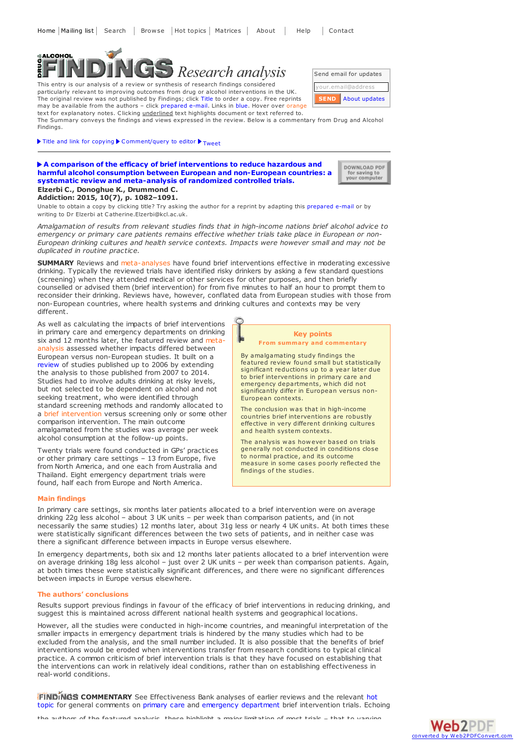# SALCOHOL *Research analysis*

This entry is our analysis of a review or synthesis of research findings considered particularly relevant to improving outcomes from drug or alcohol interventions in the UK. The original review was not published by Findings; click Title to order a copy. Free reprints may be available from the authors – click prepared e-mail. Links in blue. Hover over orange text for explanatory notes. Clicking *underlined* text highlights document or text referred to.

The Summary conveys the findings and views expressed in the review. Below is a commentary from Drug and Alcohol Findings.

Title and link for [copying](javascript:;)  $\blacktriangleright$  [Comment/query](mailto:editor@findings.org.uk?Subject=Findings entry: A comparison of the efficacy of brief interventions to reduce hazardous and harmful alcohol consumption between European and non-European countries: a systematic review and meta-analysis of randomized controlled trials&body=Dear Editor%0A%0ARegarding the Findings document:%0AA comparison of the efficacy of brief interventions to reduce hazardous and harmful alcohol consumption between European and non-European countries: a systematic review and meta-analysis of randomized controlled trials%0Aat:%0Ahttps://findings.org.uk/PHP/dl.php?file=Elzerbi_C_1.txt%0A%0AI would appreciate your response to this comment/query:%0A[Enter your comment/query here]) to editor  $\blacktriangleright$  [Tweet](https://twitter.com/share)

## **A comparison of the efficacy of brief interventions to reduce hazardous and harmful alcohol consumption between European and [non-European](http://dx.doi.org/10.1111/add.12960) countries: a systematic review and meta-analysis of randomized controlled trials. Elzerbi C., Donoghue K., Drummond C.**

**Addiction: 2015, 10(7), p. 1082–1091.**

Unable to obtain a copy by clicking title? Try asking the author for a reprint by adapting this [prepared](mailto:Catherine.Elzerbi@kcl.ac.uk?Subject=Reprint request&body=Dear Dr Elzerbi%0A%0AOn the Drug and Alcohol Findings web site (https://findings.org.uk) I read about your article:%0AElzerbi C., Donoghue K., Drummond C. A comparison of the efficacy of brief interventions to reduce hazardous and harmful alcohol consumption between European and non-European countries: a systematic review and meta-analysis of randomized controlled trials. Addiction: 2015, 10(7), p. 1082-1091.%0A%0AWould it be possible to for me to be sent a PDF reprint or the manuscript by replying to this e-mail?%0A) e-mail or by writing to Dr Elzerbi at Catherine.Elzerbi@kcl.ac.uk.

*Amalgamation of results from relevant studies finds that in high-income nations brief alcohol advice to emergency or primary care patients remains effective whether trials take place in European or non-European drinking cultures and health service contexts. Impacts were however small and may not be duplicated in routine practice.*

**SUMMARY** Reviews and meta-analyses have found brief interventions effective in moderating excessive drinking. Typically the reviewed trials have identified risky drinkers by asking a few standard questions (screening) when they attended medical or other services for other purposes, and then briefly counselled or advised them (brief intervention) for from five minutes to half an hour to prompt them to reconsider their drinking. Reviews have, however, conflated data from European studies with those from non-European countries, where health systems and drinking cultures and contexts may be very different.

As well as calculating the impacts of brief interventions in primary care and emergency departments on drinking six and 12 months later, the featured review and metaanalysis assessed whether impacts differed between European versus non-European studies. It built on a [review](https://findings.org.uk/PHP/dl.php?file=Kaner_E_7.txt&s=$s) of studies published up to 2006 by extending the analysis to those published from 2007 to 2014. Studies had to involve adults drinking at risky levels, but not selected to be dependent on alcohol and not seeking treatment, who were identified through standard screening methods and randomly allocated to a brief intervention versus screening only or some other comparison intervention. The main outcome amalgamated from the studies was average per week alcohol consumption at the follow-up points.

Twenty trials were found conducted in GPs' practices or other primary care settings – 13 from Europe, five from North America, and one each from Australia and Thailand. Eight emergency department trials were found, half each from Europe and North America.

## **Main findings**

In primary care settings, six months later patients allocated to a brief intervention were on average drinking 22g less alcohol – about 3 UK units – per week than comparison patients, and (in not necessarily the same studies) 12 months later, about 31g less or nearly 4 UK units. At both times these were statistically significant differences between the two sets of patients, and in neither case was there a significant difference between impacts in Europe versus elsewhere.

In emergency departments, both six and 12 months later patients allocated to a brief intervention were on average drinking 18g less alcohol – just over 2 UK units – per week than comparison patients. Again, at both times these were statistically significant differences, and there were no significant differences between impacts in Europe versus elsewhere.

#### **The authors' conclusions**

Results support previous findings in favour of the efficacy of brief interventions in reducing drinking, and suggest this is maintained across different national health systems and geographical locations.

However, all the studies were conducted in high-income countries, and meaningful interpretation of the smaller impacts in emergency department trials is hindered by the many studies which had to be excluded from the analysis, and the small number included. It is also possible that the benefits of brief interventions would be eroded when interventions transfer from research conditions to typical clinical practice. A common criticism of brief intervention trials is that they have focused on establishing that the interventions can work in relatively ideal conditions, rather than on establishing effectiveness in real-world conditions.

**FINDINGS [COMMENTARY](https://findings.org.uk/PHP/dl.php?file=hot_alc_BI.hot&s=$s)** See Effectiveness Bank analyses of earlier reviews and the relevant hot topic for general comments on [primary](https://findings.org.uk/PHP/dl.php?file=Kaner_E_7.txt&s=$s) care and emergency [department](https://findings.org.uk/PHP/dl.php?file=Nilsen_P_1.txt&s=$s) brief intervention trials. Echoing

the authors of the featured analysis, these highlight a major limitation of most trials – that to varying



By amalgamating study findings the featured review found small but statistically significant reductions up to a year later due to brief interventions in primary care and emergency departments, which did not significantly differ in European versus non-European contexts.

The conclusion was that in high-income countries brief interventions are robustly effective in very different drinking cultures and health system contexts.

The analysis was however based on trials generally not conducted in conditions close<br>to normal practice, and its outcome measure in some cases poorly reflected the findings of the studies.



DOWNLOAD PDF for saving to<br>your computer